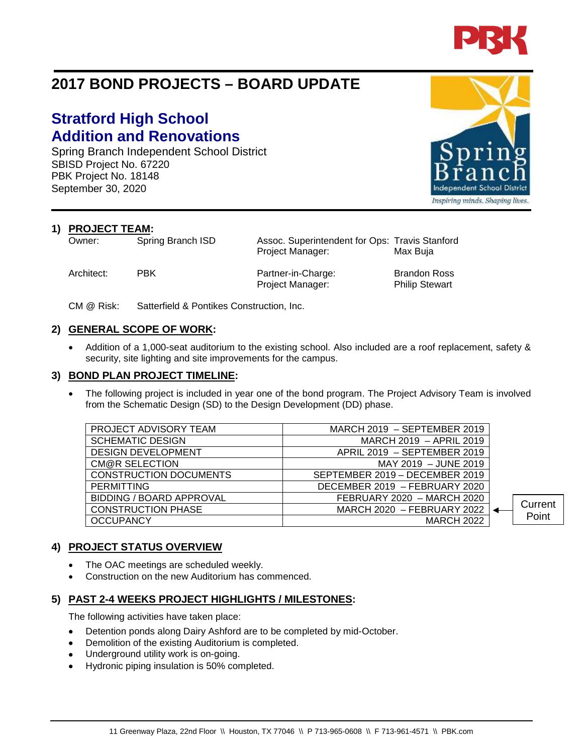

# **2017 BOND PROJECTS – BOARD UPDATE**

# **Stratford High School Addition and Renovations**

Spring Branch Independent School District SBISD Project No. 67220 PBK Project No. 18148 September 30, 2020

**1) PROJECT TEAM:**<br>Owner: Spring Branch ISD

Architect: PBK Partner-in-Charge: Brandon Ross

Project Manager: Philip Stewart

Assoc. Superintendent for Ops: Travis Stanford Project Manager: Max Buja

CM @ Risk: Satterfield & Pontikes Construction, Inc.

### **2) GENERAL SCOPE OF WORK:**

• Addition of a 1,000-seat auditorium to the existing school. Also included are a roof replacement, safety & security, site lighting and site improvements for the campus.

#### **3) BOND PLAN PROJECT TIMELINE:**

The following project is included in year one of the bond program. The Project Advisory Team is involved from the Schematic Design (SD) to the Design Development (DD) phase.

| PROJECT ADVISORY TEAM           | MARCH $2019$ – SEPTEMBER 2019  |         |
|---------------------------------|--------------------------------|---------|
| <b>SCHEMATIC DESIGN</b>         | MARCH 2019 - APRIL 2019        |         |
| <b>DESIGN DEVELOPMENT</b>       | APRIL 2019 - SEPTEMBER 2019    |         |
| CM@R SELECTION                  | MAY 2019 - JUNE 2019           |         |
| <b>CONSTRUCTION DOCUMENTS</b>   | SEPTEMBER 2019 - DECEMBER 2019 |         |
| <b>PERMITTING</b>               | DECEMBER 2019 - FEBRUARY 2020  |         |
| <b>BIDDING / BOARD APPROVAL</b> | FEBRUARY 2020 - MARCH 2020     |         |
| <b>CONSTRUCTION PHASE</b>       | MARCH 2020 - FEBRUARY 2022     | Current |
| <b>OCCUPANCY</b>                | <b>MARCH 2022</b>              | Point   |
|                                 |                                |         |

### **4) PROJECT STATUS OVERVIEW**

- The OAC meetings are scheduled weekly.
- Construction on the new Auditorium has commenced.

## **5) PAST 2-4 WEEKS PROJECT HIGHLIGHTS / MILESTONES:**

The following activities have taken place:

- Detention ponds along Dairy Ashford are to be completed by mid-October.
- Demolition of the existing Auditorium is completed.
- Underground utility work is on-going.
- Hydronic piping insulation is 50% completed.



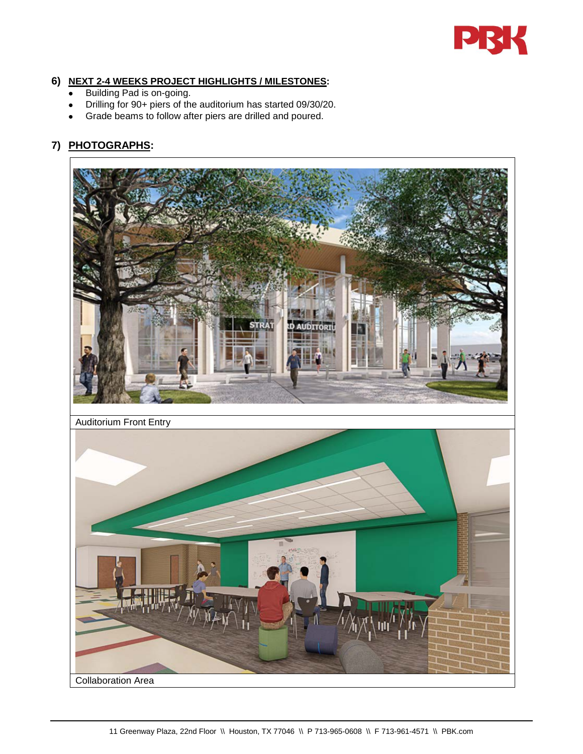

#### **6) NEXT 2-4 WEEKS PROJECT HIGHLIGHTS / MILESTONES:**

- Building Pad is on-going.
- Drilling for 90+ piers of the auditorium has started 09/30/20.
- Grade beams to follow after piers are drilled and poured.

## **7) PHOTOGRAPHS:**

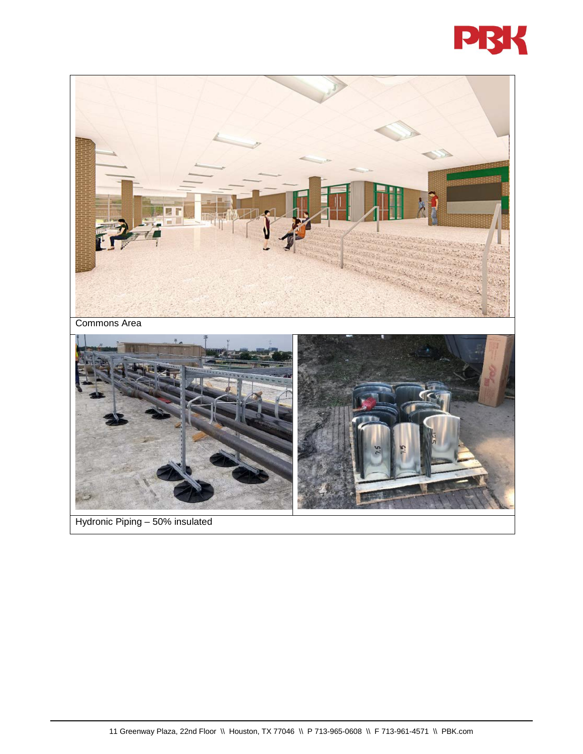

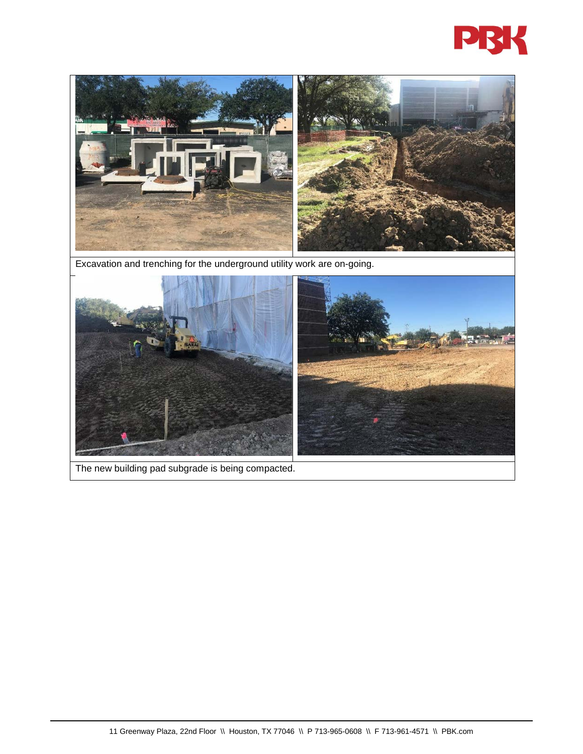



Excavation and trenching for the underground utility work are on-going.